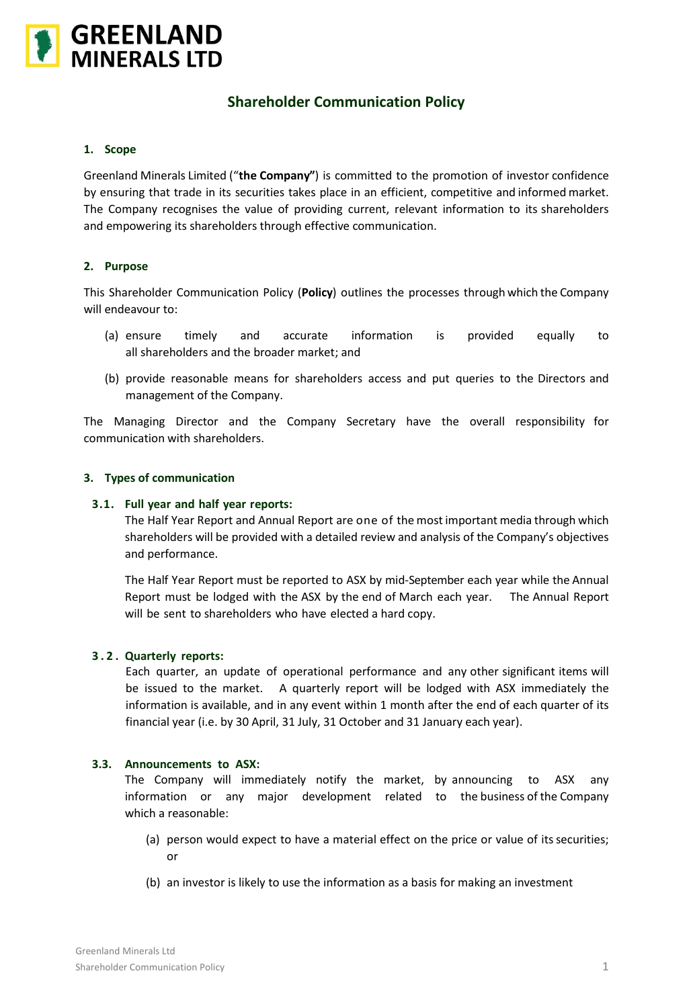

# **Shareholder Communication Policy**

## **1. Scope**

Greenland Minerals Limited ("**the Company"**) is committed to the promotion of investor confidence by ensuring that trade in its securities takes place in an efficient, competitive and informed market. The Company recognises the value of providing current, relevant information to its shareholders and empowering its shareholders through effective communication.

# **2. Purpose**

This Shareholder Communication Policy (**Policy**) outlines the processes through which the Company will endeavour to:

- (a) ensure timely and accurate information is provided equally to all shareholders and the broader market; and
- (b) provide reasonable means for shareholders access and put queries to the Directors and management of the Company.

The Managing Director and the Company Secretary have the overall responsibility for communication with shareholders.

### **3. Types of communication**

#### **3.1. Full year and half year reports:**

The Half Year Report and Annual Report are one of the most important media through which shareholders will be provided with a detailed review and analysis of the Company's objectives and performance.

The Half Year Report must be reported to ASX by mid-September each year while the Annual Report must be lodged with the ASX by the end of March each year. The Annual Report will be sent to shareholders who have elected a hard copy.

#### **3 . 2 . Quarterly reports:**

Each quarter, an update of operational performance and any other significant items will be issued to the market. A quarterly report will be lodged with ASX immediately the information is available, and in any event within 1 month after the end of each quarter of its financial year (i.e. by 30 April, 31 July, 31 October and 31 January each year).

#### **3.3. Announcements to ASX:**

The Company will immediately notify the market, by announcing to ASX any information or any major development related to the business of the Company which a reasonable:

- (a) person would expect to have a material effect on the price or value of its securities; or
- (b) an investor is likely to use the information as a basis for making an investment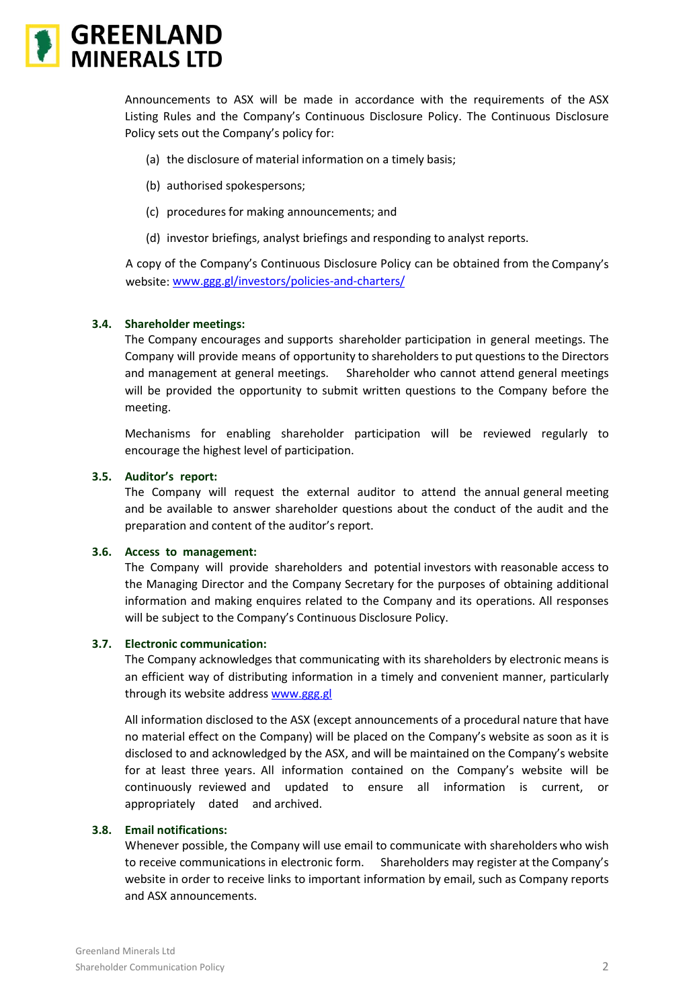

Announcements to ASX will be made in accordance with the requirements of the ASX Listing Rules and the Company's Continuous Disclosure Policy. The Continuous Disclosure Policy sets out the Company's policy for:

- (a) the disclosure of material information on a timely basis;
- (b) authorised spokespersons;
- (c) procedures for making announcements; and
- (d) investor briefings, analyst briefings and responding to analyst reports.

A copy of the Company's Continuous Disclosure Policy can be obtained from the Company's website: [www.ggg.gl/investors/policies-and-charters/](http://www.ggg.gl/investors/policies-and-charters/)

### **3.4. Shareholder meetings:**

The Company encourages and supports shareholder participation in general meetings. The Company will provide means of opportunity to shareholders to put questions to the Directors and management at general meetings. Shareholder who cannot attend general meetings will be provided the opportunity to submit written questions to the Company before the meeting.

Mechanisms for enabling shareholder participation will be reviewed regularly to encourage the highest level of participation.

## **3.5. Auditor's report:**

The Company will request the external auditor to attend the annual general meeting and be available to answer shareholder questions about the conduct of the audit and the preparation and content of the auditor's report.

#### **3.6. Access to management:**

The Company will provide shareholders and potential investors with reasonable access to the Managing Director and the Company Secretary for the purposes of obtaining additional information and making enquires related to the Company and its operations. All responses will be subject to the Company's Continuous Disclosure Policy.

#### **3.7. Electronic communication:**

The Company acknowledges that communicating with its shareholders by electronic means is an efficient way of distributing information in a timely and convenient manner, particularly through its website address [www.ggg.gl](http://www.ggg.gl/)

All information disclosed to the ASX (except announcements of a procedural nature that have no material effect on the Company) will be placed on the Company's website as soon as it is disclosed to and acknowledged by the ASX, and will be maintained on the Company's website for at least three years. All information contained on the Company's website will be continuously reviewed and updated to ensure all information is current, or appropriately dated and archived.

# **3.8. Email notifications:**

Whenever possible, the Company will use email to communicate with shareholders who wish to receive communications in electronic form. Shareholders may register at the Company's website in order to receive links to important information by email, such as Company reports and ASX announcements.